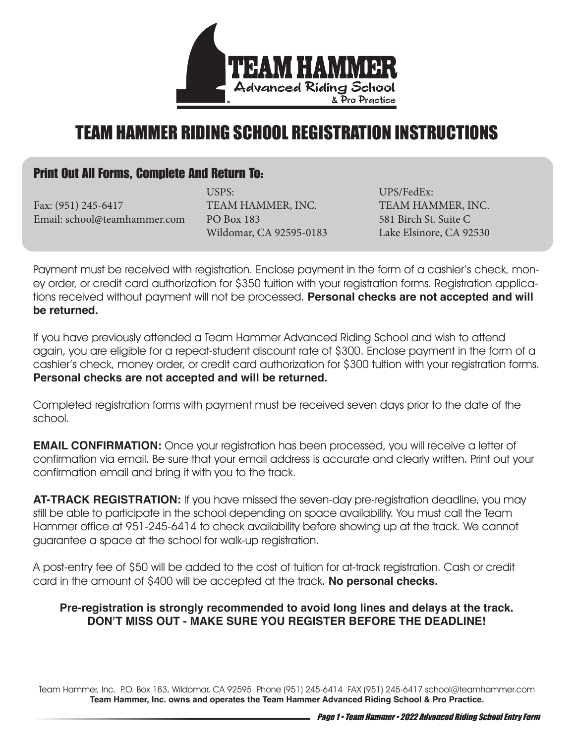

# TEAM HAMMER RIDING SCHOOL REGISTRATION INSTRUCTIONS

### Print Out All Forms, Complete And Return To:

Fax: (951) 245-6417 Email: school@teamhammer.com

USPS: TEAM HAMMER, INC. PO Box 183 Wildomar, CA 92595-0183

UPS/FedEx: TEAM HAMMER, INC. 581 Birch St. Suite C Lake Elsinore, CA 92530

Payment must be received with registration. Enclose payment in the form of a cashier's check, money order, or credit card authorization for \$350 tuition with your registration forms. Registration applications received without payment will not be processed. **Personal checks are not accepted and will be returned.** 

If you have previously attended a Team Hammer Advanced Riding School and wish to attend again, you are eligible for a repeat-student discount rate of \$300. Enclose payment in the form of a cashier's check, money order, or credit card authorization for \$300 tuition with your registration forms. **Personal checks are not accepted and will be returned.** 

Completed registration forms with payment must be received seven days prior to the date of the school.

**EMAIL CONFIRMATION:** Once your registration has been processed, you will receive a letter of confirmation via email. Be sure that your email address is accurate and clearly written. Print out your confirmation email and bring it with you to the track.

**AT-TRACK REGISTRATION:** If you have missed the seven-day pre-registration deadline, you may still be able to participate in the school depending on space availability. You must call the Team Hammer office at 951-245-6414 to check availability before showing up at the track. We cannot guarantee a space at the school for walk-up registration.

A post-entry fee of \$50 will be added to the cost of tuition for at-track registration. Cash or credit card in the amount of \$400 will be accepted at the track. **No personal checks.** 

#### **Pre-registration is strongly recommended to avoid long lines and delays at the track. DON'T MISS OUT - MAKE SURE YOU REGISTER BEFORE THE DEADLINE!**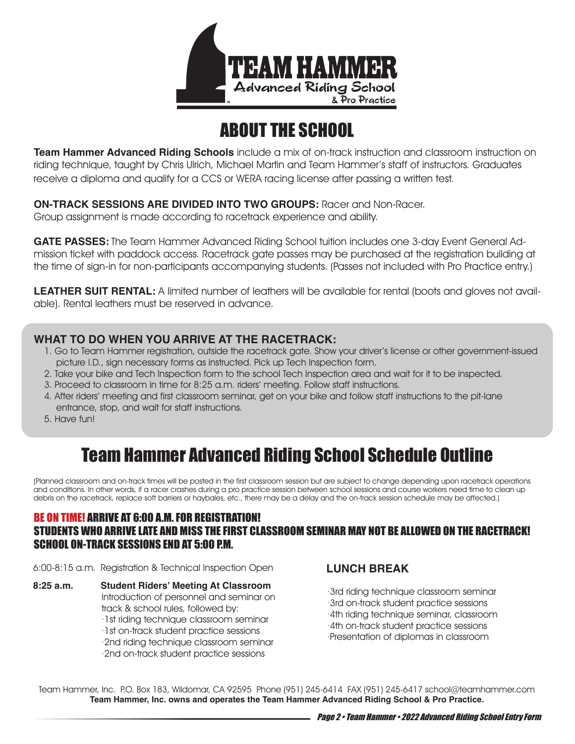

# ABOUT THE SCHOOL

**Team Hammer Advanced Riding Schools** include a mix of on-track instruction and classroom instruction on riding technique, taught by Chris Ulrich, Michael Martin and Team Hammer's staff of instructors. Graduates receive a diploma and qualify for a CCS or WERA racing license after passing a written test.

**ON-TRACK SESSIONS ARE DIVIDED INTO TWO GROUPS:** Racer and Non-Racer.

Group assignment is made according to racetrack experience and ability.

**GATE PASSES:** The Team Hammer Advanced Riding School tuition includes one 3-day Event General Admission ticket with paddock access. Racetrack gate passes may be purchased at the registration building at the time of sign-in for non-participants accompanying students. (Passes not included with Pro Practice entry.)

**LEATHER SUIT RENTAL:** A limited number of leathers will be available for rental (boots and gloves not available). Rental leathers must be reserved in advance.

#### **WHAT TO DO WHEN YOU ARRIVE AT THE RACETRACK:**

- 1. Go to Team Hammer registration, outside the racetrack gate. Show your driver's license or other government-issued picture I.D., sign necessary forms as instructed. Pick up Tech Inspection form.
- 2. Take your bike and Tech Inspection form to the school Tech Inspection area and wait for it to be inspected.
- 3. Proceed to classroom in time for 8:25 a.m. riders' meeting. Follow staff instructions.
- 4. After riders' meeting and first classroom seminar, get on your bike and follow staff instructions to the pit-lane entrance, stop, and wait for staff instructions.
- 5. Have fun!

# Team Hammer Advanced Riding School Schedule Outline

(Planned classroom and on-track times will be posted in the first classroom session but are subject to change depending upon racetrack operations and conditions. In other words, if a racer crashes during a pro practice session between school sessions and course workers need time to clean up debris on the racetrack, replace soft barriers or haybales, etc., there may be a delay and the on-track session schedule may be affected.)

#### BE ON TIME! ARRIVE AT 6:00 A.M. FOR REGISTRATION! STUDENTS WHO ARRIVE LATE AND MISS THE FIRST CLASSROOM SEMINAR MAY NOT BE ALLOWED ON THE RACETRACK! SCHOOL ON-TRACK SESSIONS END AT 5:00 P.M.

6:00-8:15 a.m. Registration & Technical Inspection Open

**8:25 a.m. Student Riders' Meeting At Classroom**  Introduction of personnel and seminar on track & school rules, followed by: ·1st riding technique classroom seminar ·1st on-track student practice sessions ·2nd riding technique classroom seminar ·2nd on-track student practice sessions

### **LUNCH BREAK**

·3rd riding technique classroom seminar ·3rd on-track student practice sessions ·4th riding technique seminar, classroom ·4th on-track student practice sessions ·Presentation of diplomas in classroom

Team Hammer, Inc. P.O. Box 183, Wildomar, CA 92595 Phone (951) 245-6414 FAX (951) 245-6417 school@teamhammer.com **Team Hammer, Inc. owns and operates the Team Hammer Advanced Riding School & Pro Practice.**

Page 2 • Team Hammer • 2022 Advanced Riding School Entry Form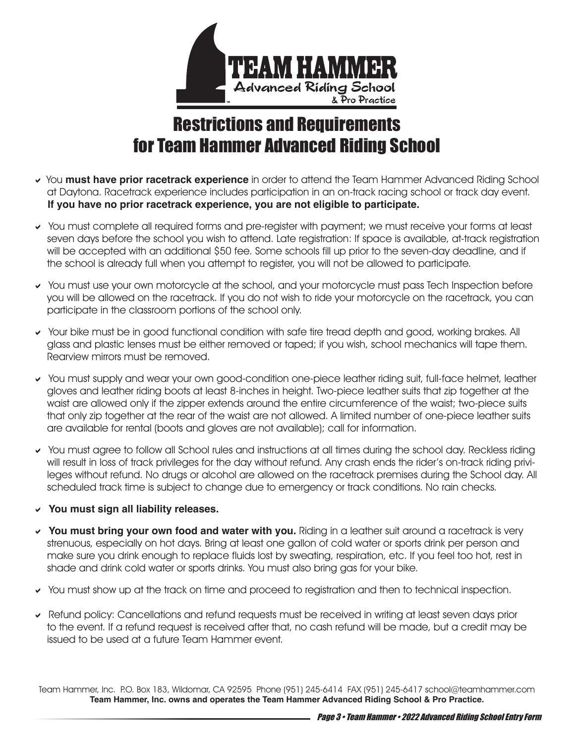

# Restrictions and Requirements for Team Hammer Advanced Riding School

- You **must have prior racetrack experience** in order to attend the Team Hammer Advanced Riding School at Daytona. Racetrack experience includes participation in an on-track racing school or track day event. **If you have no prior racetrack experience, you are not eligible to participate.**
- You must complete all required forms and pre-register with payment; we must receive your forms at least seven days before the school you wish to attend. Late registration: If space is available, at-track registration will be accepted with an additional \$50 fee. Some schools fill up prior to the seven-day deadline, and if the school is already full when you attempt to register, you will not be allowed to participate.
- You must use your own motorcycle at the school, and your motorcycle must pass Tech Inspection before you will be allowed on the racetrack. If you do not wish to ride your motorcycle on the racetrack, you can participate in the classroom portions of the school only.
- Your bike must be in good functional condition with safe tire tread depth and good, working brakes. All glass and plastic lenses must be either removed or taped; if you wish, school mechanics will tape them. Rearview mirrors must be removed.
- You must supply and wear your own good-condition one-piece leather riding suit, full-face helmet, leather gloves and leather riding boots at least 8-inches in height. Two-piece leather suits that zip together at the waist are allowed only if the zipper extends around the entire circumference of the waist; two-piece suits that only zip together at the rear of the waist are not allowed. A limited number of one-piece leather suits are available for rental (boots and gloves are not available); call for information.
- You must agree to follow all School rules and instructions at all times during the school day. Reckless riding will result in loss of track privileges for the day without refund. Any crash ends the rider's on-track riding privileges without refund. No drugs or alcohol are allowed on the racetrack premises during the School day. All scheduled track time is subject to change due to emergency or track conditions. No rain checks.
- **You must sign all liability releases.**
- **You must bring your own food and water with you.** Riding in a leather suit around a racetrack is very strenuous, especially on hot days. Bring at least one gallon of cold water or sports drink per person and make sure you drink enough to replace fluids lost by sweating, respiration, etc. If you feel too hot, rest in shade and drink cold water or sports drinks. You must also bring gas for your bike.
- You must show up at the track on time and proceed to registration and then to technical inspection.
- Refund policy: Cancellations and refund requests must be received in writing at least seven days prior to the event. If a refund request is received after that, no cash refund will be made, but a credit may be issued to be used at a future Team Hammer event.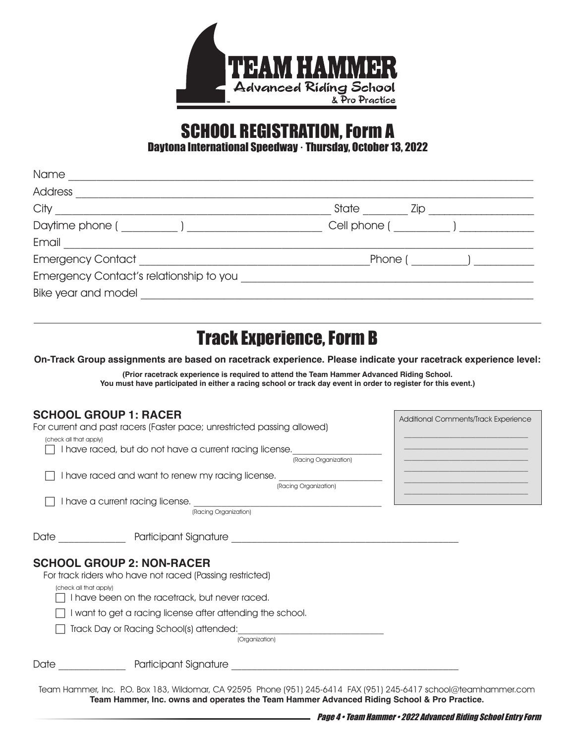

# SCHOOL REGISTRATION, Form A

Daytona International Speedway · Thursday, October 13, 2022

| State<br>Zip  |
|---------------|
| Cell phone (  |
|               |
| Phone ( and ) |
|               |
|               |
|               |
|               |

# Track Experience, Form B

**On-Track Group assignments are based on racetrack experience. Please indicate your racetrack experience level:**

**(Prior racetrack experience is required to attend the Team Hammer Advanced Riding School. You must have participated in either a racing school or track day event in order to register for this event.)**

#### **SCHOOL GROUP 1: RACER**

| <b>SCHOOL GROUP 1: RACER</b>                                                                                | Additional Comments/Track Experience                                                                                 |
|-------------------------------------------------------------------------------------------------------------|----------------------------------------------------------------------------------------------------------------------|
| For current and past racers (Faster pace; unrestricted passing allowed)                                     |                                                                                                                      |
| (check all that apply)                                                                                      |                                                                                                                      |
| I have raced, but do not have a current racing license.                                                     |                                                                                                                      |
| (Racing Organization)                                                                                       |                                                                                                                      |
| I have raced and want to renew my racing license.                                                           |                                                                                                                      |
| (Racing Organization)                                                                                       | <u> 1989 - Jan James James Barbara, martxa amerikan pertsatuan pertsatuan pertsatuan pertsatuan pertsatuan perts</u> |
| I have a current racing license.                                                                            |                                                                                                                      |
| (Racing Organization)                                                                                       |                                                                                                                      |
| Date Participant Signature Participant Signature                                                            |                                                                                                                      |
| <b>SCHOOL GROUP 2: NON-RACER</b>                                                                            |                                                                                                                      |
| For track riders who have not raced (Passing restricted)                                                    |                                                                                                                      |
| (check all that apply)                                                                                      |                                                                                                                      |
| I have been on the racetrack, but never raced.                                                              |                                                                                                                      |
| I want to get a racing license after attending the school.                                                  |                                                                                                                      |
| Track Day or Racing School(s) attended:                                                                     |                                                                                                                      |
| (Organization)                                                                                              |                                                                                                                      |
| Date <b>Example 2018</b> Participant Signature <b>Constant Construction</b>                                 |                                                                                                                      |
| Togm Hammer Inc. PO Roy 183 Wildomar CA 02505 Phone (051) 245-6414 EAY (051) 245-6417 school@teamhammer.com |                                                                                                                      |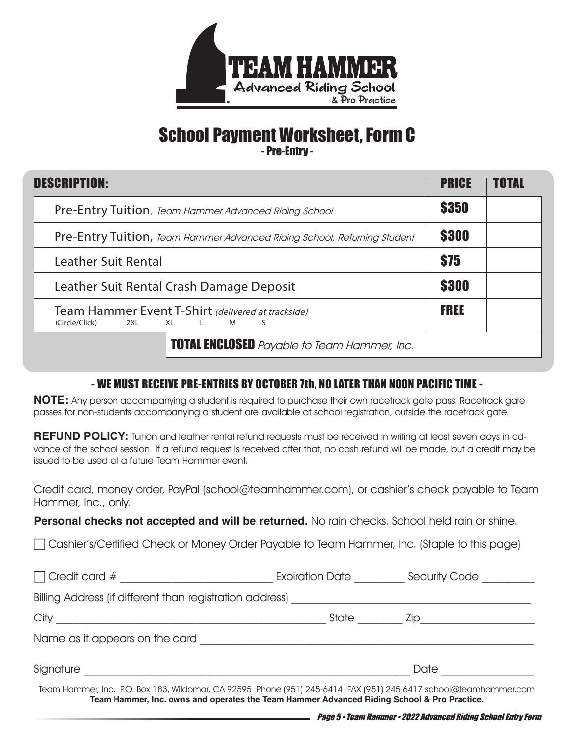

### School Payment Worksheet, Form C - Pre-Entry -

| <b>DESCRIPTION:</b>                                                                      |              | TOTAL |
|------------------------------------------------------------------------------------------|--------------|-------|
| <b>Pre-Entry Tuition</b> , Team Hammer Advanced Riding School                            |              |       |
| Pre-Entry Tuition, Team Hammer Advanced Riding School, Returning Student                 | <b>\$300</b> |       |
| <b>Leather Suit Rental</b>                                                               | \$75         |       |
| Leather Suit Rental Crash Damage Deposit                                                 | \$300        |       |
| Team Hammer Event T-Shirt (delivered at trackside)<br>(Circle/Click)<br>2XL XL L M<br>S. | <b>FREE</b>  |       |
| <b>TOTAL ENCLOSED</b> Payable to Team Hammer, Inc.                                       |              |       |

### - WE MUST RECEIVE PRE-ENTRIES BY OCTOBER 7th, NO LATER THAN NOON PACIFIC TIME -

**NOTE:** Any person accompanying a student is required to purchase their own racetrack gate pass. Racetrack gate passes for non-students accompanying a student are available at school registration, outside the racetrack gate.

**REFUND POLICY:** Tuition and leather rental refund requests must be received in writing at least seven days in advance of the school session. If a refund request is received after that, no cash refund will be made, but a credit may be issued to be used at a future Team Hammer event.

Credit card, money order, PayPal (school@teamhammer.com), or cashier's check payable to Team Hammer, Inc., only.

**Personal checks not accepted and will be returned.** No rain checks. School held rain or shine.

Cashier's/Certified Check or Money Order Payable to Team Hammer, Inc. (Staple to this page)

| $\Box$ Credit card #                                     | Expiration Date                                                                                                                                                                                                | Security Code |  |
|----------------------------------------------------------|----------------------------------------------------------------------------------------------------------------------------------------------------------------------------------------------------------------|---------------|--|
| Billing Address (if different than registration address) |                                                                                                                                                                                                                |               |  |
| City                                                     | State                                                                                                                                                                                                          | Zip.          |  |
| Name as it appears on the card                           |                                                                                                                                                                                                                |               |  |
| Signature                                                |                                                                                                                                                                                                                | Date          |  |
|                                                          | Team Hammer, Inc. P.O. Box 183, Wildomar, CA 92595 Phone (951) 245-6414 FAX (951) 245-6417 school@teamhammer.com<br>Team Hammer, Inc. owns and operates the Team Hammer Advanced Riding School & Pro Practice. |               |  |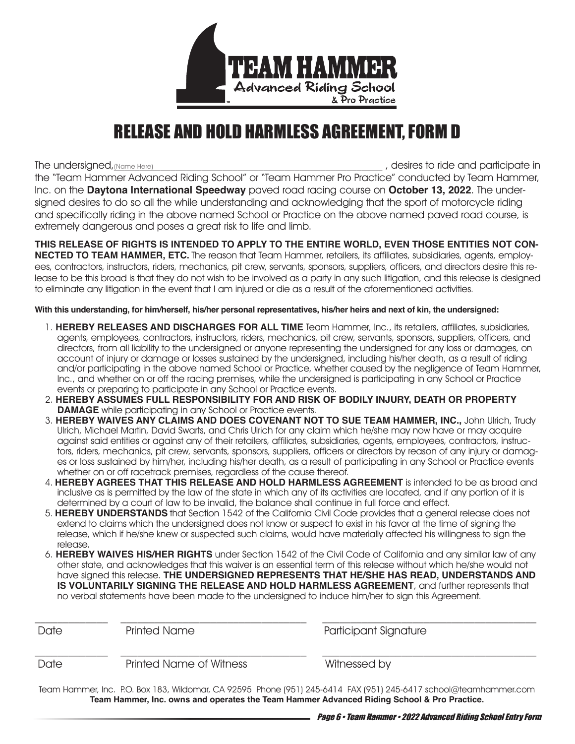

## RELEASE AND HOLD HARMLESS AGREEMENT, FORM D

, desires to ride and participate in the "Team Hammer Advanced Riding School" or "Team Hammer Pro Practice" conducted by Team Hammer, Inc. on the **Daytona International Speedway** paved road racing course on **October 13, 2022**. The undersigned desires to do so all the while understanding and acknowledging that the sport of motorcycle riding and specifically riding in the above named School or Practice on the above named paved road course, is extremely dangerous and poses a great risk to life and limb. The undersigned, (Name Here)

**THIS RELEASE OF RIGHTS IS INTENDED TO APPLY TO THE ENTIRE WORLD, EVEN THOSE ENTITIES NOT CON-NECTED TO TEAM HAMMER, ETC.** The reason that Team Hammer, retailers, its affiliates, subsidiaries, agents, employees, contractors, instructors, riders, mechanics, pit crew, servants, sponsors, suppliers, officers, and directors desire this release to be this broad is that they do not wish to be involved as a party in any such litigation, and this release is designed to eliminate any litigation in the event that I am injured or die as a result of the aforementioned activities.

**With this understanding, for him/herself, his/her personal representatives, his/her heirs and next of kin, the undersigned:** 

- 1. **HEREBY RELEASES AND DISCHARGES FOR ALL TIME** Team Hammer, Inc., its retailers, affiliates, subsidiaries, agents, employees, contractors, instructors, riders, mechanics, pit crew, servants, sponsors, suppliers, officers, and directors, from all liability to the undersigned or anyone representing the undersigned for any loss or damages, on account of injury or damage or losses sustained by the undersigned, including his/her death, as a result of riding and/or participating in the above named School or Practice, whether caused by the negligence of Team Hammer, Inc., and whether on or off the racing premises, while the undersigned is participating in any School or Practice events or preparing to participate in any School or Practice events.
- 2. **HEREBY ASSUMES FULL RESPONSIBILITY FOR AND RISK OF BODILY INJURY, DEATH OR PROPERTY DAMAGE** while participating in any School or Practice events.
- 3. **HEREBY WAIVES ANY CLAIMS AND DOES COVENANT NOT TO SUE TEAM HAMMER, INC.,** John Ulrich, Trudy Ulrich, Michael Martin, David Swarts, and Chris Ulrich for any claim which he/she may now have or may acquire against said entities or against any of their retailers, affiliates, subsidiaries, agents, employees, contractors, instructors, riders, mechanics, pit crew, servants, sponsors, suppliers, officers or directors by reason of any injury or damages or loss sustained by him/her, including his/her death, as a result of participating in any School or Practice events whether on or off racetrack premises, regardless of the cause thereof.
- 4. **HEREBY AGREES THAT THIS RELEASE AND HOLD HARMLESS AGREEMENT** is intended to be as broad and inclusive as is permitted by the law of the state in which any of its activities are located, and if any portion of it is determined by a court of law to be invalid, the balance shall continue in full force and effect.
- 5. **HEREBY UNDERSTANDS** that Section 1542 of the California Civil Code provides that a general release does not extend to claims which the undersigned does not know or suspect to exist in his favor at the time of signing the release, which if he/she knew or suspected such claims, would have materially affected his willingness to sign the release.
- 6. **HEREBY WAIVES HIS/HER RIGHTS** under Section 1542 of the Civil Code of California and any similar law of any other state, and acknowledges that this waiver is an essential term of this release without which he/she would not have signed this release. **THE UNDERSIGNED REPRESENTS THAT HE/SHE HAS READ, UNDERSTANDS AND IS VOLUNTARILY SIGNING THE RELEASE AND HOLD HARMLESS AGREEMENT**, and further represents that no verbal statements have been made to the undersigned to induce him/her to sign this Agreement.

| Date | Printed Name            | Participant Signature                                                                                                 |  |
|------|-------------------------|-----------------------------------------------------------------------------------------------------------------------|--|
| Date | Printed Name of Witness | Witnessed by                                                                                                          |  |
|      |                         | Togen Hampson Ing. BO, Boy 102, Wildomson CA, OBEOE, Bhong (OE1) OAE, CA14, FAV (OE1) OAE, CA17 sobool Champbementsom |  |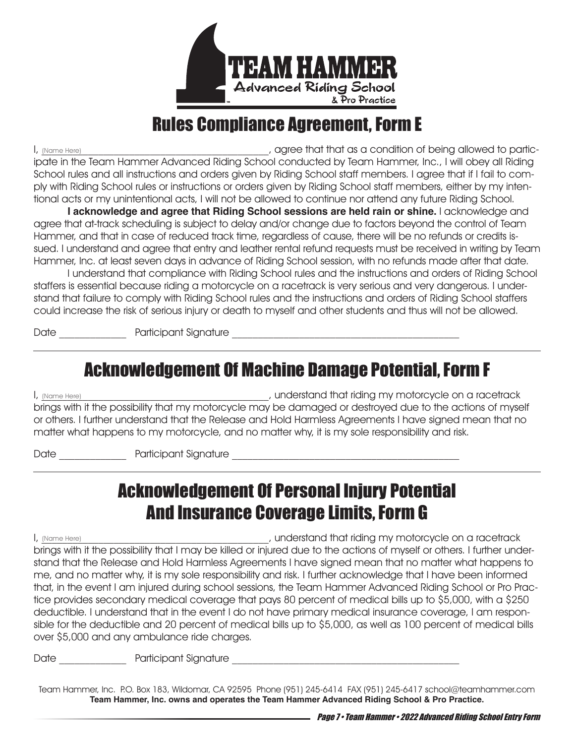

### Rules Compliance Agreement, Form E

, agree that that as a condition of being allowed to participate in the Team Hammer Advanced Riding School conducted by Team Hammer, Inc., I will obey all Riding School rules and all instructions and orders given by Riding School staff members. I agree that if I fail to comply with Riding School rules or instructions or orders given by Riding School staff members, either by my intentional acts or my unintentional acts, I will not be allowed to continue nor attend any future Riding School. (Name Here)

**I acknowledge and agree that Riding School sessions are held rain or shine.** I acknowledge and agree that at-track scheduling is subject to delay and/or change due to factors beyond the control of Team Hammer, and that in case of reduced track time, regardless of cause, there will be no refunds or credits issued. I understand and agree that entry and leather rental refund requests must be received in writing by Team Hammer, Inc. at least seven days in advance of Riding School session, with no refunds made after that date.

 I understand that compliance with Riding School rules and the instructions and orders of Riding School staffers is essential because riding a motorcycle on a racetrack is very serious and very dangerous. I understand that failure to comply with Riding School rules and the instructions and orders of Riding School staffers could increase the risk of serious injury or death to myself and other students and thus will not be allowed.

Date \_\_\_\_\_\_\_\_\_\_\_\_\_ Participant Signature \_\_\_\_\_\_\_\_\_\_\_\_\_\_\_\_\_\_\_\_\_\_\_\_\_\_\_\_\_\_\_\_\_\_\_\_\_\_\_\_\_\_\_\_

### Acknowledgement Of Machine Damage Potential, Form F

I, \_\_\_\_\_\_\_\_\_\_\_\_\_\_\_\_\_\_\_\_\_\_\_\_\_\_\_\_\_\_\_\_\_\_\_\_\_\_\_\_\_\_\_\_, understand that riding my motorcycle on a racetrack brings with it the possibility that my motorcycle may be damaged or destroyed due to the actions of myself or others. I further understand that the Release and Hold Harmless Agreements I have signed mean that no matter what happens to my motorcycle, and no matter why, it is my sole responsibility and risk. (Name Here)

Date \_\_\_\_\_\_\_\_\_\_\_\_\_ Participant Signature \_\_\_\_\_\_\_\_\_\_\_\_\_\_\_\_\_\_\_\_\_\_\_\_\_\_\_\_\_\_\_\_\_\_\_\_\_\_\_\_\_\_\_\_

### Acknowledgement Of Personal Injury Potential And Insurance Coverage Limits, Form G

, understand that riding my motorcycle on a racetrack brings with it the possibility that I may be killed or injured due to the actions of myself or others. I further understand that the Release and Hold Harmless Agreements I have signed mean that no matter what happens to me, and no matter why, it is my sole responsibility and risk. I further acknowledge that I have been informed that, in the event I am injured during school sessions, the Team Hammer Advanced Riding School or Pro Practice provides secondary medical coverage that pays 80 percent of medical bills up to \$5,000, with a \$250 deductible. I understand that in the event I do not have primary medical insurance coverage, I am responsible for the deductible and 20 percent of medical bills up to \$5,000, as well as 100 percent of medical bills over \$5,000 and any ambulance ride charges. (Name Here)

Date and the contract participant Signature  $\Box$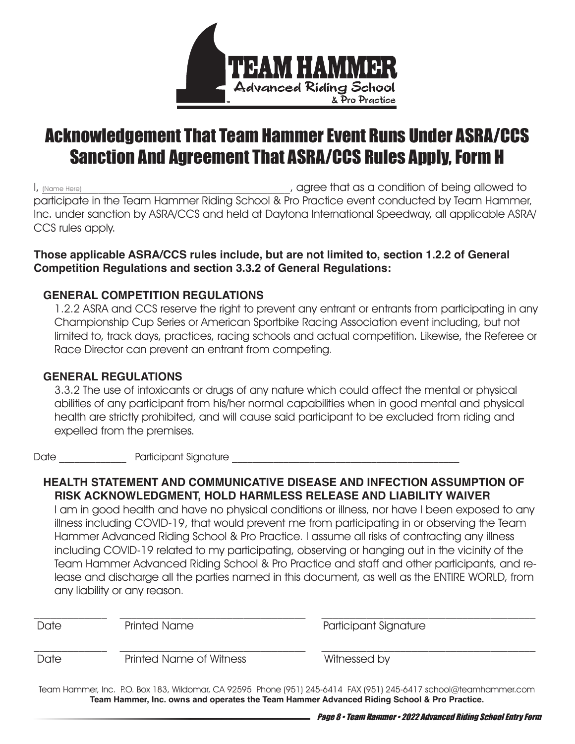

# Acknowledgement That Team Hammer Event Runs Under ASRA/CCS Sanction And Agreement That ASRA/CCS Rules Apply, Form H

, agree that as a condition of being allowed to participate in the Team Hammer Riding School & Pro Practice event conducted by Team Hammer, Inc. under sanction by ASRA/CCS and held at Daytona International Speedway, all applicable ASRA/ CCS rules apply. (Name Here)

#### **Those applicable ASRA/CCS rules include, but are not limited to, section 1.2.2 of General Competition Regulations and section 3.3.2 of General Regulations:**

#### **GENERAL COMPETITION REGULATIONS**

1.2.2 ASRA and CCS reserve the right to prevent any entrant or entrants from participating in any Championship Cup Series or American Sportbike Racing Association event including, but not limited to, track days, practices, racing schools and actual competition. Likewise, the Referee or Race Director can prevent an entrant from competing.

#### **GENERAL REGULATIONS**

3.3.2 The use of intoxicants or drugs of any nature which could affect the mental or physical abilities of any participant from his/her normal capabilities when in good mental and physical health are strictly prohibited, and will cause said participant to be excluded from riding and expelled from the premises.

Date \_\_\_\_\_\_\_\_\_\_\_\_\_ Participant Signature \_\_\_\_\_\_\_\_\_\_\_\_\_\_\_\_\_\_\_\_\_\_\_\_\_\_\_\_\_\_\_\_\_\_\_\_\_\_\_\_\_\_\_\_

#### **HEALTH STATEMENT AND COMMUNICATIVE DISEASE AND INFECTION ASSUMPTION OF RISK ACKNOWLEDGMENT, HOLD HARMLESS RELEASE AND LIABILITY WAIVER**

I am in good health and have no physical conditions or illness, nor have I been exposed to any illness including COVID-19, that would prevent me from participating in or observing the Team Hammer Advanced Riding School & Pro Practice. I assume all risks of contracting any illness including COVID-19 related to my participating, observing or hanging out in the vicinity of the Team Hammer Advanced Riding School & Pro Practice and staff and other participants, and release and discharge all the parties named in this document, as well as the ENTIRE WORLD, from any liability or any reason.

| Date | <b>Printed Name</b>            | Participant Signature |
|------|--------------------------------|-----------------------|
| Date | <b>Printed Name of Witness</b> | Witnessed by          |